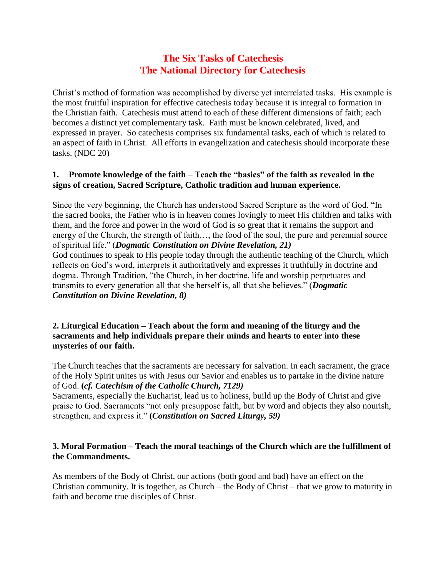# **The Six Tasks of Catechesis The National Directory for Catechesis**

Christ's method of formation was accomplished by diverse yet interrelated tasks. His example is the most fruitful inspiration for effective catechesis today because it is integral to formation in the Christian faith. Catechesis must attend to each of these different dimensions of faith; each becomes a distinct yet complementary task. Faith must be known celebrated, lived, and expressed in prayer. So catechesis comprises six fundamental tasks, each of which is related to an aspect of faith in Christ. All efforts in evangelization and catechesis should incorporate these tasks. (NDC 20)

## **1. Promote knowledge of the faith** – **Teach the "basics" of the faith as revealed in the signs of creation, Sacred Scripture, Catholic tradition and human experience.**

Since the very beginning, the Church has understood Sacred Scripture as the word of God. "In the sacred books, the Father who is in heaven comes lovingly to meet His children and talks with them, and the force and power in the word of God is so great that it remains the support and energy of the Church, the strength of faith…, the food of the soul, the pure and perennial source of spiritual life." (*Dogmatic Constitution on Divine Revelation, 21)* God continues to speak to His people today through the authentic teaching of the Church, which reflects on God's word, interprets it authoritatively and expresses it truthfully in doctrine and dogma. Through Tradition, "the Church, in her doctrine, life and worship perpetuates and transmits to every generation all that she herself is, all that she believes." (*Dogmatic Constitution on Divine Revelation, 8)*

### **2. Liturgical Education – Teach about the form and meaning of the liturgy and the sacraments and help individuals prepare their minds and hearts to enter into these mysteries of our faith.**

The Church teaches that the sacraments are necessary for salvation. In each sacrament, the grace of the Holy Spirit unites us with Jesus our Savior and enables us to partake in the divine nature of God. **(***cf. Catechism of the Catholic Church, 7129)*

Sacraments, especially the Eucharist, lead us to holiness, build up the Body of Christ and give praise to God. Sacraments "not only presuppose faith, but by word and objects they also nourish, strengthen, and express it." **(***Constitution on Sacred Liturgy, 59)*

# **3. Moral Formation – Teach the moral teachings of the Church which are the fulfillment of the Commandments.**

As members of the Body of Christ, our actions (both good and bad) have an effect on the Christian community. It is together, as Church – the Body of Christ – that we grow to maturity in faith and become true disciples of Christ.